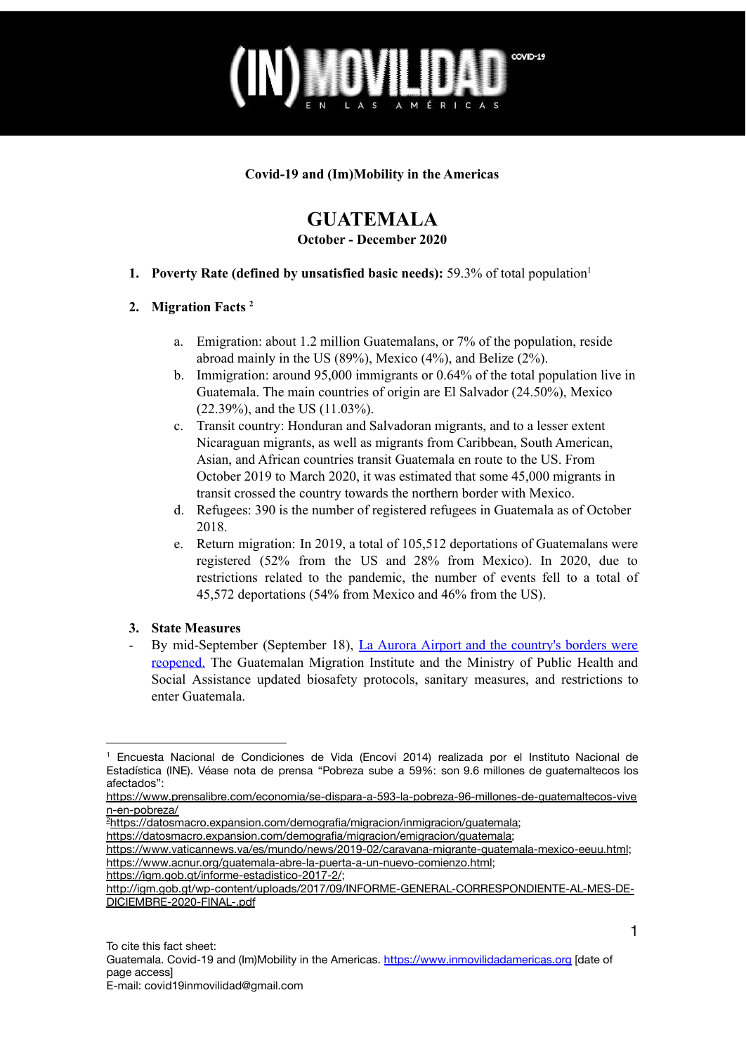

#### **Covid-19 and (Im)Mobility in the Americas**

# **GUATEMALA**

#### **October - December 2020**

**1. Poverty Rate (defined by unsatisfied basic needs):** 59.3% of total population 1

### **2. Migration Facts 2**

- a. Emigration: about 1.2 million Guatemalans, or 7% of the population, reside abroad mainly in the US (89%), Mexico (4%), and Belize (2%).
- b. Immigration: around 95,000 immigrants or 0.64% of the total population live in Guatemala. The main countries of origin are El Salvador (24.50%), Mexico (22.39%), and the US (11.03%).
- c. Transit country: Honduran and Salvadoran migrants, and to a lesser extent Nicaraguan migrants, as well as migrants from Caribbean, South American, Asian, and African countries transit Guatemala en route to the US. From October 2019 to March 2020, it was estimated that some 45,000 migrants in transit crossed the country towards the northern border with Mexico.
- d. Refugees: 390 is the number of registered refugees in Guatemala as of October 2018.
- e. Return migration: In 2019, a total of 105,512 deportations of Guatemalans were registered (52% from the US and 28% from Mexico). In 2020, due to restrictions related to the pandemic, the number of events fell to a total of 45,572 deportations (54% from Mexico and 46% from the US).

### **3. State Measures**

- By mid-September (September 18), La Aurora Airport and the [country's](https://www.prensalibre.com/guatemala/comunitario/reapertura-de-aeropuerto-la-aurora-y-fronteras-lineamientos-que-se-deben-cumplir/) borders were [reopened.](https://www.prensalibre.com/guatemala/comunitario/reapertura-de-aeropuerto-la-aurora-y-fronteras-lineamientos-que-se-deben-cumplir/) The Guatemalan Migration Institute and the Ministry of Public Health and Social Assistance updated biosafety protocols, sanitary measures, and restrictions to enter Guatemala.

<https://www.vaticannews.va/es/mundo/news/2019-02/caravana-migrante-guatemala-mexico-eeuu.html>; <https://www.acnur.org/guatemala-abre-la-puerta-a-un-nuevo-comienzo.html>;

<sup>1</sup> Encuesta Nacional de Condiciones de Vida (Encovi 2014) realizada por el Instituto Nacional de Estadística (INE). Véase nota de prensa "Pobreza sube a 59%: son 9.6 millones de guatemaltecos los afectados":

[https://www.prensalibre.com/economia/se-dispara-a-593-la-pobreza-96-millones-de-guatemaltecos-vive](https://www.prensalibre.com/economia/se-dispara-a-593-la-pobreza-96-millones-de-guatemaltecos-viven-en-pobreza/) [n-en-pobreza/](https://www.prensalibre.com/economia/se-dispara-a-593-la-pobreza-96-millones-de-guatemaltecos-viven-en-pobreza/)

<sup>2</sup>[https://datosmacro.expansion.com/demografia/migracion/inmigracion/guatemala;](https://datosmacro.expansion.com/demografia/migracion/inmigracion/guatemala)

[https://datosmacro.expansion.com/demografia/migracion/emigracion/guatemala;](https://datosmacro.expansion.com/demografia/migracion/emigracion/guatemala)

<https://igm.gob.gt/informe-estadistico-2017-2/>;

[http://igm.gob.gt/wp-content/uploads/2017/09/INFORME-GENERAL-CORRESPONDIENTE-AL-MES-DE-](http://igm.gob.gt/wp-content/uploads/2017/09/INFORME-GENERAL-CORRESPONDIENTE-AL-MES-DE-DICIEMBRE-2020-FINAL-.pdf)[DICIEMBRE-2020-FINAL-.pdf](http://igm.gob.gt/wp-content/uploads/2017/09/INFORME-GENERAL-CORRESPONDIENTE-AL-MES-DE-DICIEMBRE-2020-FINAL-.pdf)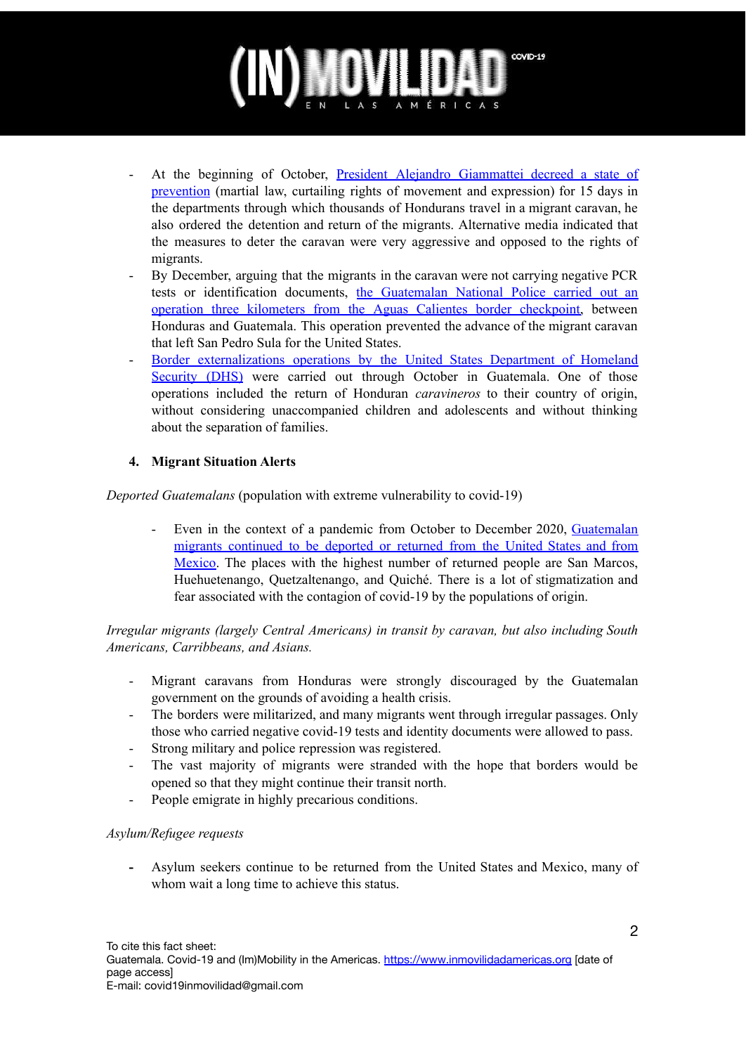# COVID-19 MÉRICAS

- At the beginning of October, President Alejandro [Giammattei](https://www.prensalibre.com/guatemala/politica/caravana-migrante-giammattei-declara-estado-de-prevencion-hondurenos-seran-detenidos-y-retornados-breaking/) decreed a state of [prevention](https://www.prensalibre.com/guatemala/politica/caravana-migrante-giammattei-declara-estado-de-prevencion-hondurenos-seran-detenidos-y-retornados-breaking/) (martial law, curtailing rights of movement and expression) for 15 days in the departments through which thousands of Hondurans travel in a migrant caravan, he also ordered the detention and return of the migrants. Alternative media indicated that the measures to deter the caravan were very aggressive and opposed to the rights of migrants.
- By December, arguing that the migrants in the caravan were not carrying negative PCR tests or identification documents, the [Guatemalan](https://radioprogresohn.net/instante/policia-frena-caravana-de-migrantes-en-la-frontera-de-aguascalientes/?fbclid=IwAR3fBTJS-4tKCHRbd-fWACMosLBtFXzA-m1o5BxKUpvPqDYOLlQbNiN0LRk) National Police carried out an operation three kilometers from the Aguas Calientes border [checkpoint,](https://radioprogresohn.net/instante/policia-frena-caravana-de-migrantes-en-la-frontera-de-aguascalientes/?fbclid=IwAR3fBTJS-4tKCHRbd-fWACMosLBtFXzA-m1o5BxKUpvPqDYOLlQbNiN0LRk) between Honduras and Guatemala. This operation prevented the advance of the migrant caravan that left San Pedro Sula for the United States.
- Border externalizations operations by the United States Department of Homeland Security (DHS) were carried out through October in Guatemala. One of those operations included the return of Honduran *caravineros* to their country of origin, without considering unaccompanied children and adolescents and without thinking about the separation of families.

## **4. Migrant Situation Alerts**

*Deported Guatemalans* (population with extreme vulnerability to covid-19)

- Even in the context of a pandemic from October to December 2020, [Guatemalan](https://dca.gob.gt/noticias-guatemala-diario-centro-america/lanzan-campana-de-apoyo-a-migrantes/) migrants [continued](https://dca.gob.gt/noticias-guatemala-diario-centro-america/lanzan-campana-de-apoyo-a-migrantes/) to be deported or returned from the United States and from [Mexico.](https://dca.gob.gt/noticias-guatemala-diario-centro-america/lanzan-campana-de-apoyo-a-migrantes/) The places with the highest number of returned people are San Marcos, Huehuetenango, Quetzaltenango, and Quiché. There is a lot of stigmatization and fear associated with the contagion of covid-19 by the populations of origin.

*Irregular migrants (largely Central Americans) in transit by caravan, but also including South Americans, Carribbeans, and Asians.*

- Migrant caravans from Honduras were strongly discouraged by the Guatemalan government on the grounds of avoiding a health crisis.
- The borders were militarized, and many migrants went through irregular passages. Only those who carried negative covid-19 tests and identity documents were allowed to pass.
- Strong military and police repression was registered.
- The vast majority of migrants were stranded with the hope that borders would be opened so that they might continue their transit north.
- People emigrate in highly precarious conditions.

#### *Asylum/Refugee requests*

**-** Asylum seekers continue to be returned from the United States and Mexico, many of whom wait a long time to achieve this status.